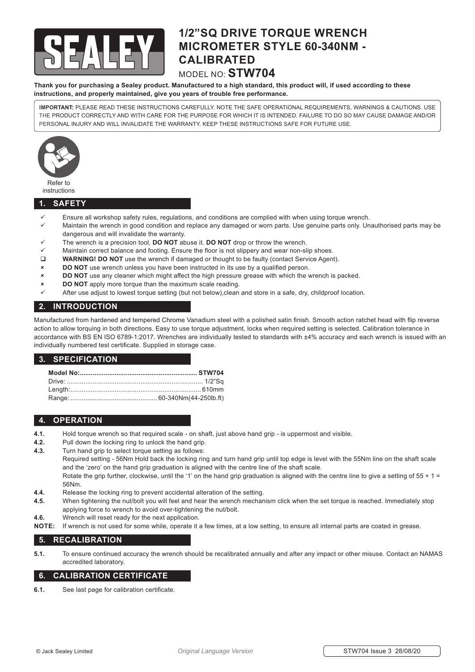

# **1/2"SQ DRIVE TORQUE WRENCH MICROMETER STYLE 60-340NM - CALIBRATED**

### MODEL NO: **STW704**

**Thank you for purchasing a Sealey product. Manufactured to a high standard, this product will, if used according to these instructions, and properly maintained, give you years of trouble free performance.**

**IMPORTANT:** PLEASE READ THESE INSTRUCTIONS CAREFULLY. NOTE THE SAFE OPERATIONAL REQUIREMENTS, WARNINGS & CAUTIONS. USE THE PRODUCT CORRECTLY AND WITH CARE FOR THE PURPOSE FOR WHICH IT IS INTENDED. FAILURE TO DO SO MAY CAUSE DAMAGE AND/OR PERSONAL INJURY AND WILL INVALIDATE THE WARRANTY. KEEP THESE INSTRUCTIONS SAFE FOR FUTURE USE.



instructions

#### **1. SAFETY**

- Ensure all workshop safety rules, regulations, and conditions are complied with when using torque wrench.
- $\checkmark$  Maintain the wrench in good condition and replace any damaged or worn parts. Use genuine parts only. Unauthorised parts may be dangerous and will invalidate the warranty.
- 9 The wrench is a precision tool, **DO NOT** abuse it. **DO NOT** drop or throw the wrench.
- Maintain correct balance and footing. Ensure the floor is not slippery and wear non-slip shoes.
- **WARNING! DO NOT** use the wrench if damaged or thought to be faulty (contact Service Agent).
- **8 <b>DO NOT** use wrench unless you have been instructed in its use by a qualified person.
- 8 **DO NOT** use any cleaner which might affect the high pressure grease with which the wrench is packed.
- **BO NOT** apply more torque than the maximum scale reading.
- After use adjust to lowest torque setting (but not below),clean and store in a safe, dry, childproof location.

#### **2. INTRODUCTION**

Manufactured from hardened and tempered Chrome Vanadium steel with a polished satin finish. Smooth action ratchet head with flip reverse action to allow torquing in both directions. Easy to use torque adjustment, locks when required setting is selected. Calibration tolerance in accordance with BS EN ISO 6789-1:2017. Wrenches are individually tested to standards with ±4% accuracy and each wrench is issued with an individually numbered test certificate. Supplied in storage case.

#### **3. SPECIFICATION**

### **4. OPERATION**

- **4.1.** Hold torque wrench so that required scale on shaft, just above hand grip is uppermost and visible.
- **4.2.** Pull down the locking ring to unlock the hand grip.
- **4.3.** Turn hand grip to select torque setting as follows:

 Required setting - 56Nm Hold back the locking ring and turn hand grip until top edge is level with the 55Nm line on the shaft scale and the 'zero' on the hand grip graduation is aligned with the centre line of the shaft scale.

Rotate the grip further, clockwise, until the '1' on the hand grip graduation is aligned with the centre line to give a setting of  $55 + 1 =$  56Nm.

- **4.4.** Release the locking ring to prevent accidental alteration of the setting.
- **4.5.** When tightening the nut/bolt you will feel and hear the wrench mechanism click when the set torque is reached. Immediately stop applying force to wrench to avoid over-tightening the nut/bolt.
- **4.6.** Wrench will reset ready for the next application.
- **NOTE:** If wrench is not used for some while, operate it a few times, at a low setting, to ensure all internal parts are coated in grease.

#### **5. RECALIBRATION**

**5.1.** To ensure continued accuracy the wrench should be recalibrated annually and after any impact or other misuse. Contact an NAMAS accredited laboratory.

#### **6. CALIBRATION CERTIFICATE**

**6.1.** See last page for calibration certificate.